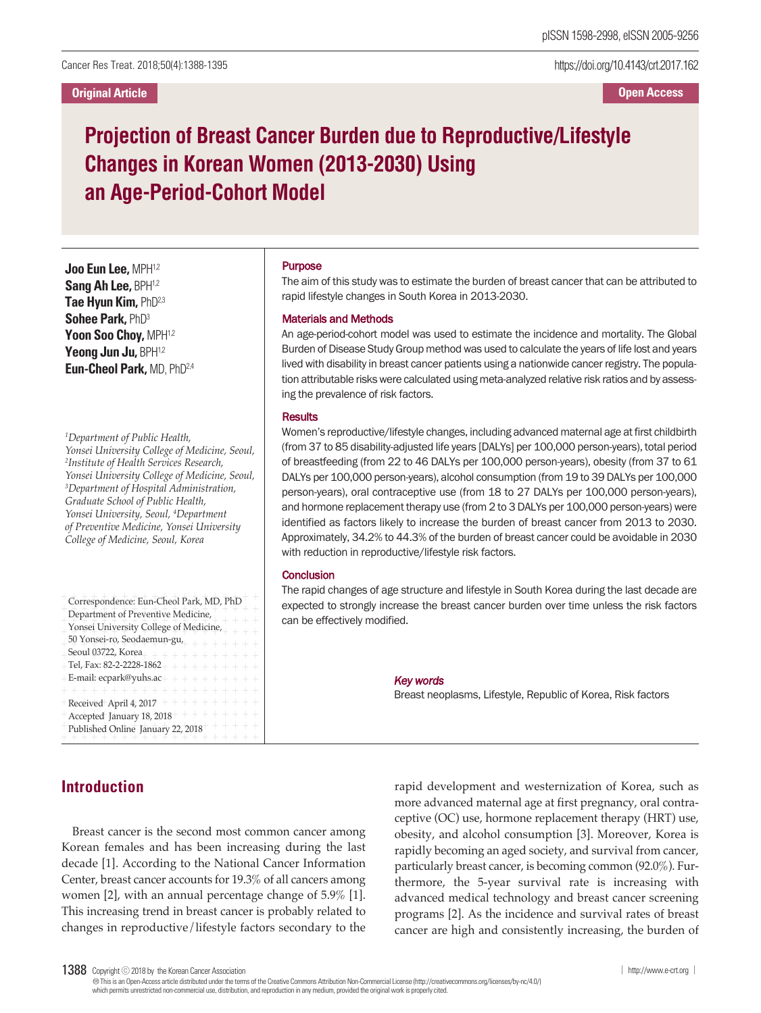https://doi.org/10.4143/crt.2017.162

**Open Access**

## **Projection of Breast Cancer Burden due to Reproductive/Lifestyle Changes in Korean Women (2013-2030) Using an Age-Period-Cohort Model**

**Joo Eun Lee,** MPH1,2 **Sang Ah Lee,** BPH1,2 **Tae Hyun Kim,** PhD2,3 **Sohee Park,** PhD3 **Yoon Soo Choy,** MPH1,2 **Yeong Jun Ju,** BPH1,2 **Eun-Cheol Park,** MD, PhD2,4

*1 Department of Public Health, Yonsei University College of Medicine, Seoul, 2 Institute of Health Services Research, Yonsei University College of Medicine, Seoul, 3 Department of Hospital Administration, Graduate School of Public Health, Yonsei University, Seoul, <sup>4</sup> Department of Preventive Medicine, Yonsei University College of Medicine, Seoul, Korea*

| Correspondence: Eun-Cheol Park, MD, PhD                  |
|----------------------------------------------------------|
| Department of Preventive Medicine,                       |
| Yonsei University College of Medicine,                   |
| 50 Yonsei-ro, Seodaemun-gu, $+ + + + + +$                |
| Seoul 03722, Korea <sub>+</sub> + + + + + + + + + + +    |
| $+$ Tel, Fax: 82-2-2228-1862 + + + + + + + + + +         |
| $+E$ -mail: ecpark@yuhs.ac+ + + + + + + + + +            |
| + + + + + + + + + + + + + +                              |
| +Received+April 4, 2017 + + + + + + + + + +              |
| + Accepted January 18, 2018 + + + + + + + + +            |
| Published Online January 22, 2018 <sup>+</sup> + + + + + |

+ + + + + + + + + + + + + + + + + + + +

# Purpose

The aim of this study was to estimate the burden of breast cancer that can be attributed to rapid lifestyle changes in South Korea in 2013-2030.

#### Materials and Methods

An age-period-cohort model was used to estimate the incidence and mortality. The Global Burden of Disease Study Group methodwas used to calculate the years of life lost and years lived with disability in breast cancer patients using a nationwide cancer registry. The population attributable risks were calculated using meta-analyzed relative risk ratios and by assessing the prevalence of risk factors.

### **Results**

Women's reproductive/lifestyle changes, including advanced maternal age at first childbirth (from 37 to 85 disability-adjusted life years [DALYs] per 100,000 person-years), total period of breastfeeding (from 22 to 46 DALYs per 100,000 person-years), obesity (from 37 to 61 DALYs per 100,000 person-years), alcohol consumption (from 19 to 39 DALYs per 100,000 person-years), oral contraceptive use (from 18 to 27 DALYs per 100,000 person-years), and hormone replacement therapy use (from 2 to 3 DALYs per 100,000 person-years) were identified as factors likely to increase the burden of breast cancer from 2013 to 2030. Approximately, 34.2% to 44.3% of the burden of breast cancer could be avoidable in 2030 with reduction in reproductive/lifestyle risk factors.

#### **Conclusion**

The rapid changes of age structure and lifestyle in South Korea during the last decade are expected to strongly increase the breast cancer burden over time unless the risk factors can be effectively modified.

#### *Key words*

Breast neoplasms, Lifestyle, Republic of Korea, Risk factors

## **Introduction**

Breast cancer is the second most common cancer among Korean females and has been increasing during the last decade [1]. According to the National Cancer Information Center, breast cancer accounts for 19.3% of all cancers among women [2], with an annual percentage change of 5.9% [1]. This increasing trend in breast cancer is probably related to changes in reproductive/lifestyle factors secondary to the

rapid development and westernization of Korea, such as more advanced maternal age at first pregnancy, oral contraceptive (OC) use, hormone replacement therapy (HRT) use, obesity, and alcohol consumption [3]. Moreover, Korea is rapidly becoming an aged society, and survival from cancer, particularly breast cancer, is becoming common (92.0%). Furthermore, the 5-year survival rate is increasing with advanced medical technology and breast cancer screening programs [2]. As the incidence and survival rates of breast cancer are high and consistently increasing, the burden of

<sup>1388</sup> Copyright ⓒ 2018 by the Korean Cancer Association │ http://www.e-crt.org │ http://www.e-crt.org │

Thisis an Open-Access article distributed under the terms of the Creative Commons Attribution Non-CommercialLicense (http://creativecommons.org/licenses/by-nc/4.0/) which permits unrestricted non-commercial use, distribution, and reproduction in any medium, provided the original workis properlycited.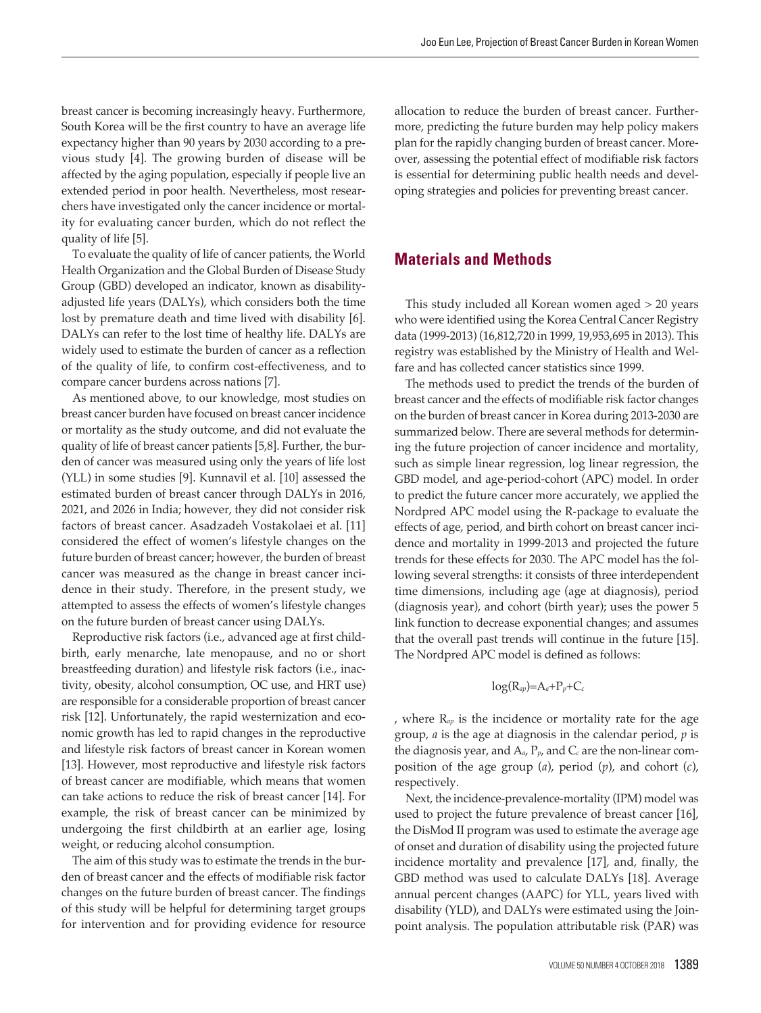breast cancer is becoming increasingly heavy. Furthermore, South Korea will be the first country to have an average life expectancy higher than 90 years by 2030 according to a previous study [4]. The growing burden of disease will be affected by the aging population, especially if people live an extended period in poor health. Nevertheless, most researchers have investigated only the cancer incidence or mortality for evaluating cancer burden, which do not reflect the quality of life [5].

To evaluate the quality of life of cancer patients, the World Health Organization and the Global Burden of Disease Study Group (GBD) developed an indicator, known as disabilityadjusted life years (DALYs), which considers both the time lost by premature death and time lived with disability [6]. DALYs can refer to the lost time of healthy life. DALYs are widely used to estimate the burden of cancer as a reflection of the quality of life, to confirm cost-effectiveness, and to compare cancer burdens across nations [7].

As mentioned above, to our knowledge, most studies on breast cancer burden have focused on breast cancer incidence or mortality as the study outcome, and did not evaluate the quality of life of breast cancer patients [5,8]. Further, the burden of cancer was measured using only the years of life lost (YLL) in some studies [9]. Kunnavil et al. [10] assessed the estimated burden of breast cancer through DALYs in 2016, 2021, and 2026 in India; however, they did not consider risk factors of breast cancer. Asadzadeh Vostakolaei et al. [11] considered the effect of women's lifestyle changes on the future burden of breast cancer; however, the burden of breast cancer was measured as the change in breast cancer incidence in their study. Therefore, in the present study, we attempted to assess the effects of women's lifestyle changes on the future burden of breast cancer using DALYs.

Reproductive risk factors (i.e., advanced age at first childbirth, early menarche, late menopause, and no or short breastfeeding duration) and lifestyle risk factors (i.e., inactivity, obesity, alcohol consumption, OC use, and HRT use) are responsible for a considerable proportion of breast cancer risk [12]. Unfortunately, the rapid westernization and economic growth has led to rapid changes in the reproductive and lifestyle risk factors of breast cancer in Korean women [13]. However, most reproductive and lifestyle risk factors of breast cancer are modifiable, which means that women can take actions to reduce the risk of breast cancer [14]. For example, the risk of breast cancer can be minimized by undergoing the first childbirth at an earlier age, losing weight, or reducing alcohol consumption.

The aim of this study was to estimate the trends in the burden of breast cancer and the effects of modifiable risk factor changes on the future burden of breast cancer. The findings of this study will be helpful for determining target groups for intervention and for providing evidence for resource

allocation to reduce the burden of breast cancer. Furthermore, predicting the future burden may help policy makers plan for the rapidly changing burden of breast cancer. Moreover, assessing the potential effect of modifiable risk factors is essential for determining public health needs and developing strategies and policies for preventing breast cancer.

## **Materials and Methods**

This study included all Korean women aged > 20 years who were identified using the Korea Central Cancer Registry data (1999-2013) (16,812,720 in 1999, 19,953,695 in 2013). This registry was established by the Ministry of Health and Welfare and has collected cancer statistics since 1999.

The methods used to predict the trends of the burden of breast cancer and the effects of modifiable risk factor changes on the burden of breast cancer in Korea during 2013-2030 are summarized below. There are several methods for determining the future projection of cancer incidence and mortality, such as simple linear regression, log linear regression, the GBD model, and age-period-cohort (APC) model. In order to predict the future cancer more accurately, we applied the Nordpred APC model using the R-package to evaluate the effects of age, period, and birth cohort on breast cancer incidence and mortality in 1999-2013 and projected the future trends for these effects for 2030. The APC model has the following several strengths: it consists of three interdependent time dimensions, including age (age at diagnosis), period (diagnosis year), and cohort (birth year); uses the power 5 link function to decrease exponential changes; and assumes that the overall past trends will continue in the future [15]. The Nordpred APC model is defined as follows:

$$
\log(R_{ap}) = A_a + P_p + C_c
$$

, where R*ap* is the incidence or mortality rate for the age group, *a* is the age at diagnosis in the calendar period, *p* is the diagnosis year, and A*a*, P*p*, and C*<sup>c</sup>* are the non-linear composition of the age group (*a*), period (*p*), and cohort (*c*), respectively.

Next, the incidence-prevalence-mortality (IPM) model was used to project the future prevalence of breast cancer [16], the DisMod II program was used to estimate the average age of onset and duration of disability using the projected future incidence mortality and prevalence [17], and, finally, the GBD method was used to calculate DALYs [18]. Average annual percent changes (AAPC) for YLL, years lived with disability (YLD), and DALYs were estimated using the Joinpoint analysis. The population attributable risk (PAR) was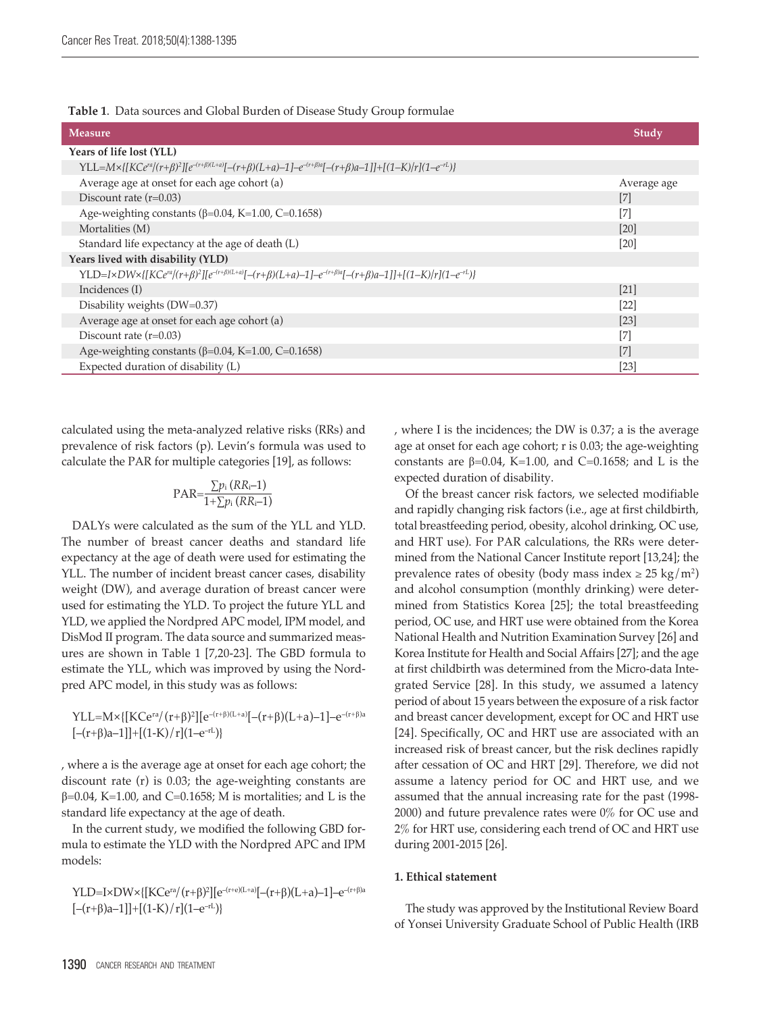| Table 1. Data sources and Global Burden of Disease Study Group formulae |  |
|-------------------------------------------------------------------------|--|
|-------------------------------------------------------------------------|--|

| <b>Measure</b>                                                                                                                                                | Study       |
|---------------------------------------------------------------------------------------------------------------------------------------------------------------|-------------|
| Years of life lost (YLL)                                                                                                                                      |             |
| $YLL=M\times\{[KCe^{ra}/(r+\beta)^2][e^{-(r+\beta)(L+a)}[-(r+\beta)(L+a)-1]-e^{-(r+\beta)a}[-(r+\beta)a-1]]+[(1-K)/r](1-e^{-rL})\}$                           |             |
| Average age at onset for each age cohort (a)                                                                                                                  | Average age |
| Discount rate $(r=0.03)$                                                                                                                                      | [7]         |
| Age-weighting constants ( $\beta$ =0.04, K=1.00, C=0.1658)                                                                                                    | $[7]$       |
| Mortalities (M)                                                                                                                                               | [20]        |
| Standard life expectancy at the age of death (L)                                                                                                              | [20]        |
| Years lived with disability (YLD)                                                                                                                             |             |
| YLD=I×DW×{[KCe <sup>ra</sup> /(r+β) <sup>2</sup> ][e <sup>-(r+β)(L+a)</sup> [-(r+β)(L+a)-1]-e <sup>-(r+β)a</sup> [-(r+β)a-1]]+[(1-K)/r](1-e <sup>-rL</sup> )} |             |
| Incidences (I)                                                                                                                                                | [21]        |
| Disability weights (DW=0.37)                                                                                                                                  | [22]        |
| Average age at onset for each age cohort (a)                                                                                                                  | [23]        |
| Discount rate $(r=0.03)$                                                                                                                                      | $[7]$       |
| Age-weighting constants ( $\beta$ =0.04, K=1.00, C=0.1658)                                                                                                    | $[7]$       |
| Expected duration of disability (L)                                                                                                                           | $[23]$      |

calculated using the meta-analyzed relative risks (RRs) and prevalence of risk factors (p). Levin's formula was used to calculate the PAR for multiple categories [19], as follows:

$$
PAR = \frac{\sum p_i (RR_i - 1)}{1 + \sum p_i (RR_i - 1)}
$$

DALYs were calculated as the sum of the YLL and YLD. The number of breast cancer deaths and standard life expectancy at the age of death were used for estimating the YLL. The number of incident breast cancer cases, disability weight (DW), and average duration of breast cancer were used for estimating the YLD. To project the future YLL and YLD, we applied the Nordpred APC model, IPM model, and DisMod II program. The data source and summarized measures are shown in Table 1 [7,20-23]. The GBD formula to estimate the YLL, which was improved by using the Nordpred APC model, in this study was as follows:

 ${\rm YLL}\!\!=\!\!{\rm M}\!\times\!\{ [{\rm KCe^{ra}}/{(r+\beta)^2}] [ {\rm e}^{-(r+\beta)(\rm L+a)}[-(r+\beta)(\rm L+a)-1] \!\!-\!\! {\rm e}^{-(r+\beta)a}$  $[-(r+\beta)a-1]]+[(1-K)/r](1-e^{-rL})$ 

, where a is the average age at onset for each age cohort; the discount rate (r) is 0.03; the age-weighting constants are  $\beta$ =0.04, K=1.00, and C=0.1658; M is mortalities; and L is the standard life expectancy at the age of death.

In the current study, we modified the following GBD formula to estimate the YLD with the Nordpred APC and IPM models:

 $\text{YLD=I}\times\text{DW}\times\{[\text{KCe}^{ra}/(r+\beta)^2][\text{e}^{-(r+\text{e})(\text{L}+a)}[-(r+\beta)(\text{L}+a)-1]\text{--e}^{-(r+\beta)a}$  $[-(r+\beta)a-1]]+[(1-K)/r](1-e^{-rL})$ 

, where I is the incidences; the DW is 0.37; a is the average age at onset for each age cohort; r is 0.03; the age-weighting constants are  $\beta$ =0.04, K=1.00, and C=0.1658; and L is the expected duration of disability.

Of the breast cancer risk factors, we selected modifiable and rapidly changing risk factors (i.e., age at first childbirth, total breastfeeding period, obesity, alcohol drinking, OC use, and HRT use). For PAR calculations, the RRs were determined from the National Cancer Institute report [13,24]; the prevalence rates of obesity (body mass index  $\geq 25 \text{ kg/m}^2$ ) and alcohol consumption (monthly drinking) were determined from Statistics Korea [25]; the total breastfeeding period, OC use, and HRT use were obtained from the Korea National Health and Nutrition Examination Survey [26] and Korea Institute for Health and Social Affairs [27]; and the age at first childbirth was determined from the Micro-data Integrated Service [28]. In this study, we assumed a latency period of about 15 years between the exposure of a risk factor and breast cancer development, except for OC and HRT use [24]. Specifically, OC and HRT use are associated with an increased risk of breast cancer, but the risk declines rapidly after cessation of OC and HRT [29]. Therefore, we did not assume a latency period for OC and HRT use, and we assumed that the annual increasing rate for the past (1998- 2000) and future prevalence rates were 0% for OC use and 2% for HRT use, considering each trend of OC and HRT use during 2001-2015 [26].

#### **1. Ethical statement**

The study was approved by the Institutional Review Board of Yonsei University Graduate School of Public Health (IRB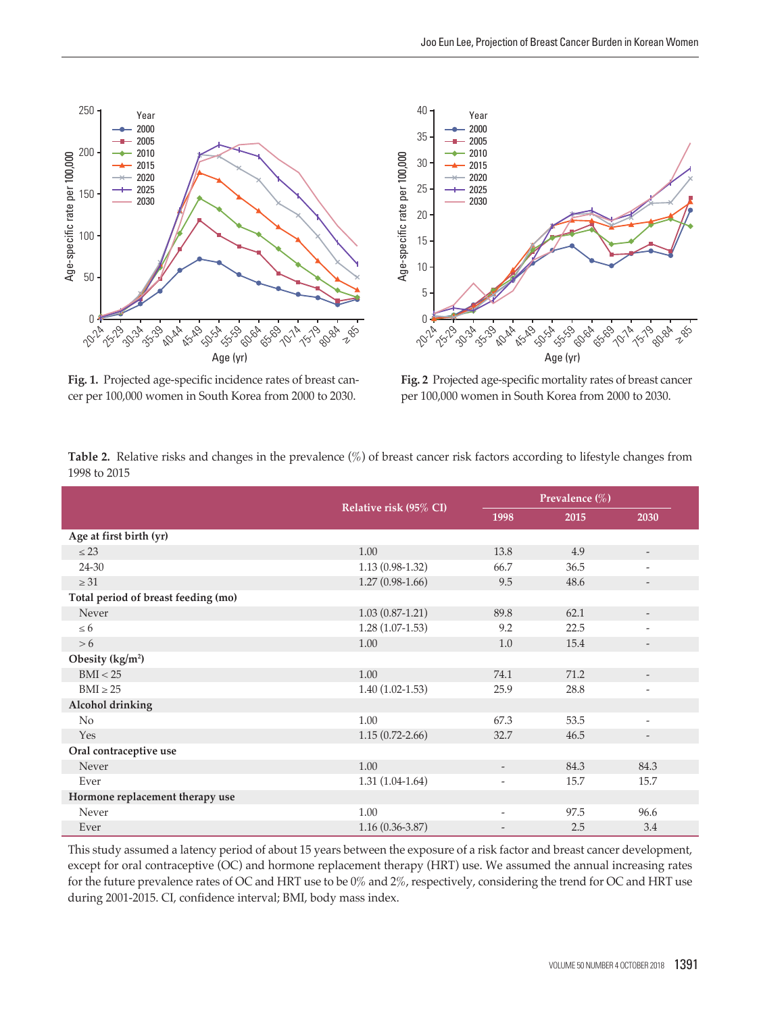



**Fig. 1.** Projected age-specific incidence rates of breast cancer per 100,000 women in South Korea from 2000 to 2030.

**Fig. 2** Projected age-specific mortality rates of breast cancer per 100,000 women in South Korea from 2000 to 2030.

|                                     | Relative risk (95% CI) | Prevalence (%)           |      |                          |
|-------------------------------------|------------------------|--------------------------|------|--------------------------|
|                                     |                        | 1998                     | 2015 | 2030                     |
| Age at first birth (yr)             |                        |                          |      |                          |
| $\leq$ 23                           | 1.00                   | 13.8                     | 4.9  | $\overline{a}$           |
| 24-30                               | $1.13(0.98-1.32)$      | 66.7                     | 36.5 | $\overline{a}$           |
| $\geq 31$                           | $1.27(0.98-1.66)$      | 9.5                      | 48.6 | $\overline{\phantom{0}}$ |
| Total period of breast feeding (mo) |                        |                          |      |                          |
| Never                               | $1.03(0.87-1.21)$      | 89.8                     | 62.1 |                          |
| $\leq 6$                            | $1.28(1.07-1.53)$      | 9.2                      | 22.5 | $\overline{\phantom{a}}$ |
| > 6                                 | 1.00                   | 1.0                      | 15.4 |                          |
| Obesity $(kg/m2)$                   |                        |                          |      |                          |
| BMI < 25                            | 1.00                   | 74.1                     | 71.2 | $\overline{\phantom{a}}$ |
| $BMI \geq 25$                       | $1.40(1.02-1.53)$      | 25.9                     | 28.8 | $\overline{a}$           |
| Alcohol drinking                    |                        |                          |      |                          |
| No                                  | 1.00                   | 67.3                     | 53.5 | $\overline{\phantom{a}}$ |
| Yes                                 | $1.15(0.72 - 2.66)$    | 32.7                     | 46.5 | $\overline{\phantom{a}}$ |
| Oral contraceptive use              |                        |                          |      |                          |
| Never                               | 1.00                   | $\overline{\phantom{a}}$ | 84.3 | 84.3                     |
| Ever                                | $1.31(1.04-1.64)$      | $\overline{\phantom{a}}$ | 15.7 | 15.7                     |
| Hormone replacement therapy use     |                        |                          |      |                          |
| Never                               | 1.00                   | $\overline{\phantom{a}}$ | 97.5 | 96.6                     |
| Ever                                | $1.16(0.36 - 3.87)$    |                          | 2.5  | 3.4                      |

**Table 2.** Relative risks and changes in the prevalence (%) of breast cancer risk factors according to lifestyle changes from 1998 to 2015

This study assumed a latency period of about 15 years between the exposure of a risk factor and breast cancer development, except for oral contraceptive (OC) and hormone replacement therapy (HRT) use. We assumed the annual increasing rates for the future prevalence rates of OC and HRT use to be 0% and 2%, respectively, considering the trend for OC and HRT use during 2001-2015. CI, confidence interval; BMI, body mass index.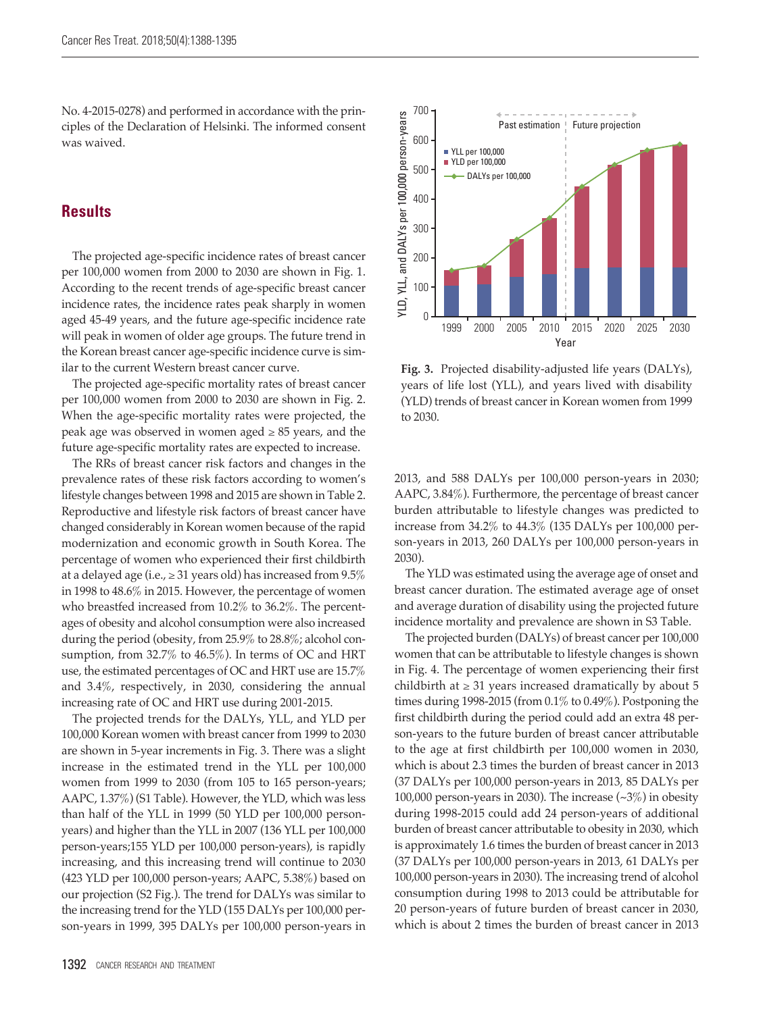No. 4-2015-0278) and performed in accordance with the principles of the Declaration of Helsinki. The informed consent was waived.

## **Results**

The projected age-specific incidence rates of breast cancer per 100,000 women from 2000 to 2030 are shown in Fig. 1. According to the recent trends of age-specific breast cancer incidence rates, the incidence rates peak sharply in women aged 45-49 years, and the future age-specific incidence rate will peak in women of older age groups. The future trend in the Korean breast cancer age-specific incidence curve is similar to the current Western breast cancer curve.

The projected age-specific mortality rates of breast cancer per 100,000 women from 2000 to 2030 are shown in Fig. 2. When the age-specific mortality rates were projected, the peak age was observed in women aged  $\geq 85$  years, and the future age-specific mortality rates are expected to increase.

The RRs of breast cancer risk factors and changes in the prevalence rates of these risk factors according to women's lifestyle changes between 1998 and 2015 are shown in Table 2. Reproductive and lifestyle risk factors of breast cancer have changed considerably in Korean women because of the rapid modernization and economic growth in South Korea. The percentage of women who experienced their first childbirth at a delayed age (i.e.,  $\geq$  31 years old) has increased from 9.5% in 1998 to 48.6% in 2015. However, the percentage of women who breastfed increased from 10.2% to 36.2%. The percentages of obesity and alcohol consumption were also increased during the period (obesity, from 25.9% to 28.8%; alcohol consumption, from 32.7% to 46.5%). In terms of OC and HRT use, the estimated percentages of OC and HRT use are 15.7% and 3.4%, respectively, in 2030, considering the annual increasing rate of OC and HRT use during 2001-2015.

The projected trends for the DALYs, YLL, and YLD per 100,000 Korean women with breast cancer from 1999 to 2030 are shown in 5-year increments in Fig. 3. There was a slight increase in the estimated trend in the YLL per 100,000 women from 1999 to 2030 (from 105 to 165 person-years; AAPC, 1.37%) (S1 Table). However, the YLD, which was less than half of the YLL in 1999 (50 YLD per 100,000 personyears) and higher than the YLL in 2007 (136 YLL per 100,000 person-years;155 YLD per 100,000 person-years), is rapidly increasing, and this increasing trend will continue to 2030 (423 YLD per 100,000 person-years; AAPC, 5.38%) based on our projection (S2 Fig.). The trend for DALYs was similar to the increasing trend for the YLD (155 DALYs per 100,000 person-years in 1999, 395 DALYs per 100,000 person-years in



**Fig. 3.** Projected disability-adjusted life years (DALYs), years of life lost (YLL), and years lived with disability (YLD) trends of breast cancer in Korean women from 1999 to 2030.

2013, and 588 DALYs per 100,000 person-years in 2030; AAPC, 3.84%). Furthermore, the percentage of breast cancer burden attributable to lifestyle changes was predicted to increase from 34.2% to 44.3% (135 DALYs per 100,000 person-years in 2013, 260 DALYs per 100,000 person-years in 2030).

The YLD was estimated using the average age of onset and breast cancer duration. The estimated average age of onset and average duration of disability using the projected future incidence mortality and prevalence are shown in S3 Table.

The projected burden (DALYs) of breast cancer per 100,000 women that can be attributable to lifestyle changes is shown in Fig. 4. The percentage of women experiencing their first childbirth at  $\geq$  31 years increased dramatically by about 5 times during 1998-2015 (from 0.1% to 0.49%). Postponing the first childbirth during the period could add an extra 48 person-years to the future burden of breast cancer attributable to the age at first childbirth per 100,000 women in 2030, which is about 2.3 times the burden of breast cancer in 2013 (37 DALYs per 100,000 person-years in 2013, 85 DALYs per 100,000 person-years in 2030). The increase (~3%) in obesity during 1998-2015 could add 24 person-years of additional burden of breast cancer attributable to obesity in 2030, which is approximately 1.6 times the burden of breast cancer in 2013 (37 DALYs per 100,000 person-years in 2013, 61 DALYs per 100,000 person-years in 2030). The increasing trend of alcohol consumption during 1998 to 2013 could be attributable for 20 person-years of future burden of breast cancer in 2030, which is about 2 times the burden of breast cancer in 2013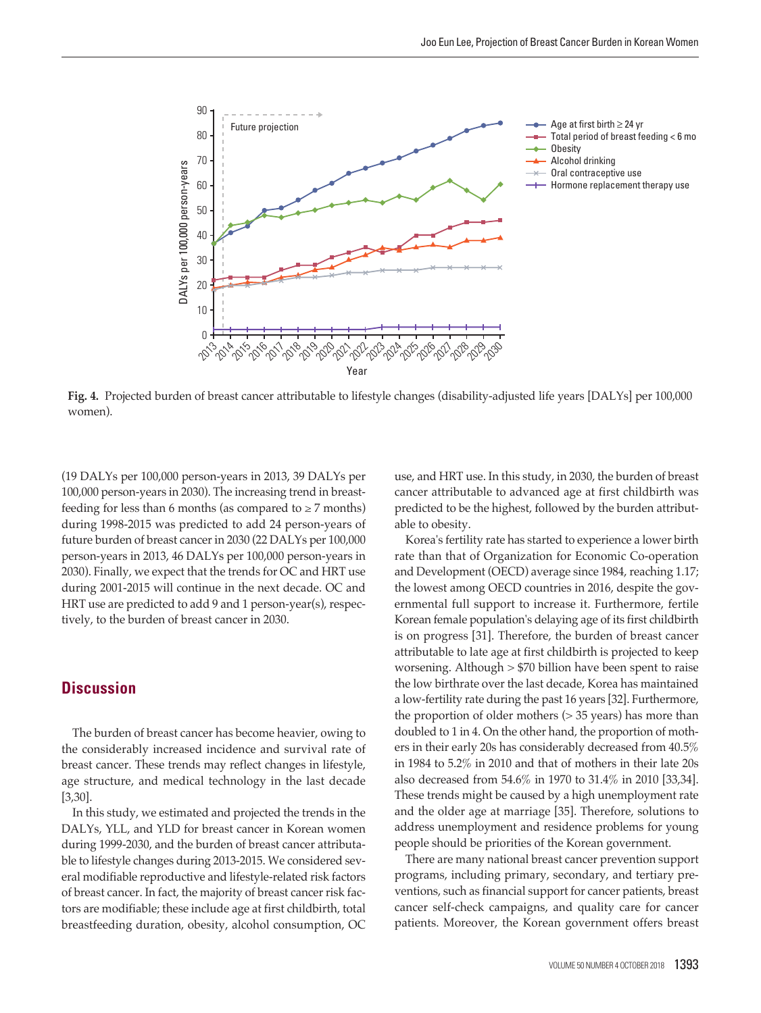

**Fig. 4.** Projected burden of breast cancer attributable to lifestyle changes (disability-adjusted life years [DALYs] per 100,000 women).

(19 DALYs per 100,000 person-years in 2013, 39 DALYs per 100,000 person-years in 2030). The increasing trend in breastfeeding for less than 6 months (as compared to  $\geq$  7 months) during 1998-2015 was predicted to add 24 person-years of future burden of breast cancer in 2030 (22 DALYs per 100,000 person-years in 2013, 46 DALYs per 100,000 person-years in 2030). Finally, we expect that the trends for OC and HRT use during 2001-2015 will continue in the next decade. OC and HRT use are predicted to add 9 and 1 person-year(s), respectively, to the burden of breast cancer in 2030.

## **Discussion**

The burden of breast cancer has become heavier, owing to the considerably increased incidence and survival rate of breast cancer. These trends may reflect changes in lifestyle, age structure, and medical technology in the last decade [3,30].

In this study, we estimated and projected the trends in the DALYs, YLL, and YLD for breast cancer in Korean women during 1999-2030, and the burden of breast cancer attributable to lifestyle changes during 2013-2015. We considered several modifiable reproductive and lifestyle-related risk factors of breast cancer. In fact, the majority of breast cancer risk factors are modifiable; these include age at first childbirth, total breastfeeding duration, obesity, alcohol consumption, OC use, and HRT use. In this study, in 2030, the burden of breast cancer attributable to advanced age at first childbirth was predicted to be the highest, followed by the burden attributable to obesity.

Korea's fertility rate has started to experience a lower birth rate than that of Organization for Economic Co-operation and Development (OECD) average since 1984, reaching 1.17; the lowest among OECD countries in 2016, despite the governmental full support to increase it. Furthermore, fertile Korean female population's delaying age of its first childbirth is on progress [31]. Therefore, the burden of breast cancer attributable to late age at first childbirth is projected to keep worsening. Although > \$70 billion have been spent to raise the low birthrate over the last decade, Korea has maintained a low-fertility rate during the past 16 years [32]. Furthermore, the proportion of older mothers (> 35 years) has more than doubled to 1 in 4. On the other hand, the proportion of mothers in their early 20s has considerably decreased from 40.5% in 1984 to 5.2% in 2010 and that of mothers in their late 20s also decreased from 54.6% in 1970 to 31.4% in 2010 [33,34]. These trends might be caused by a high unemployment rate and the older age at marriage [35]. Therefore, solutions to address unemployment and residence problems for young people should be priorities of the Korean government.

There are many national breast cancer prevention support programs, including primary, secondary, and tertiary preventions, such as financial support for cancer patients, breast cancer self-check campaigns, and quality care for cancer patients. Moreover, the Korean government offers breast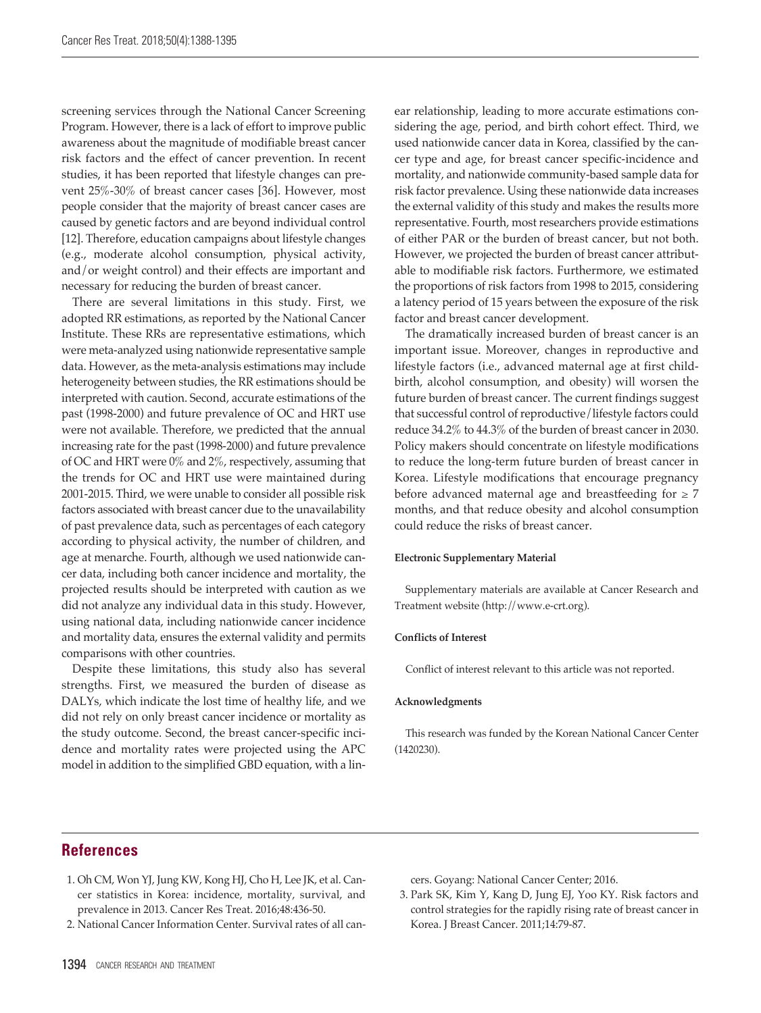screening services through the National Cancer Screening Program. However, there is a lack of effort to improve public awareness about the magnitude of modifiable breast cancer risk factors and the effect of cancer prevention. In recent studies, it has been reported that lifestyle changes can prevent 25%-30% of breast cancer cases [36]. However, most people consider that the majority of breast cancer cases are caused by genetic factors and are beyond individual control [12]. Therefore, education campaigns about lifestyle changes (e.g., moderate alcohol consumption, physical activity, and/or weight control) and their effects are important and necessary for reducing the burden of breast cancer.

There are several limitations in this study. First, we adopted RR estimations, as reported by the National Cancer Institute. These RRs are representative estimations, which were meta-analyzed using nationwide representative sample data. However, as the meta-analysis estimations may include heterogeneity between studies, the RR estimations should be interpreted with caution. Second, accurate estimations of the past (1998-2000) and future prevalence of OC and HRT use were not available. Therefore, we predicted that the annual increasing rate for the past (1998-2000) and future prevalence of OC and HRT were 0% and 2%, respectively, assuming that the trends for OC and HRT use were maintained during 2001-2015. Third, we were unable to consider all possible risk factors associated with breast cancer due to the unavailability of past prevalence data, such as percentages of each category according to physical activity, the number of children, and age at menarche. Fourth, although we used nationwide cancer data, including both cancer incidence and mortality, the projected results should be interpreted with caution as we did not analyze any individual data in this study. However, using national data, including nationwide cancer incidence and mortality data, ensures the external validity and permits comparisons with other countries.

Despite these limitations, this study also has several strengths. First, we measured the burden of disease as DALYs, which indicate the lost time of healthy life, and we did not rely on only breast cancer incidence or mortality as the study outcome. Second, the breast cancer-specific incidence and mortality rates were projected using the APC model in addition to the simplified GBD equation, with a linear relationship, leading to more accurate estimations considering the age, period, and birth cohort effect. Third, we used nationwide cancer data in Korea, classified by the cancer type and age, for breast cancer specific-incidence and mortality, and nationwide community-based sample data for risk factor prevalence. Using these nationwide data increases the external validity of this study and makes the results more representative. Fourth, most researchers provide estimations of either PAR or the burden of breast cancer, but not both. However, we projected the burden of breast cancer attributable to modifiable risk factors. Furthermore, we estimated the proportions of risk factors from 1998 to 2015, considering a latency period of 15 years between the exposure of the risk factor and breast cancer development.

The dramatically increased burden of breast cancer is an important issue. Moreover, changes in reproductive and lifestyle factors (i.e., advanced maternal age at first childbirth, alcohol consumption, and obesity) will worsen the future burden of breast cancer. The current findings suggest that successful control of reproductive/lifestyle factors could reduce 34.2% to 44.3% of the burden of breast cancer in 2030. Policy makers should concentrate on lifestyle modifications to reduce the long-term future burden of breast cancer in Korea. Lifestyle modifications that encourage pregnancy before advanced maternal age and breastfeeding for  $\geq 7$ months, and that reduce obesity and alcohol consumption could reduce the risks of breast cancer.

#### **Electronic Supplementary Material**

Supplementary materials are available at Cancer Research and Treatment website (http://www.e-crt.org).

#### **Conflicts of Interest**

Conflict of interest relevant to this article was not reported.

#### **Acknowledgments**

This research was funded by the Korean National Cancer Center (1420230).

## **References**

- 1. Oh CM, Won YJ, Jung KW, Kong HJ, Cho H, Lee JK, et al. Cancer statistics in Korea: incidence, mortality, survival, and prevalence in 2013. Cancer Res Treat. 2016;48:436-50.
- 2. National Cancer Information Center. Survival rates of all can-

cers. Goyang: National Cancer Center; 2016.

3. Park SK, Kim Y, Kang D, Jung EJ, Yoo KY. Risk factors and control strategies for the rapidly rising rate of breast cancer in Korea. J Breast Cancer. 2011;14:79-87.